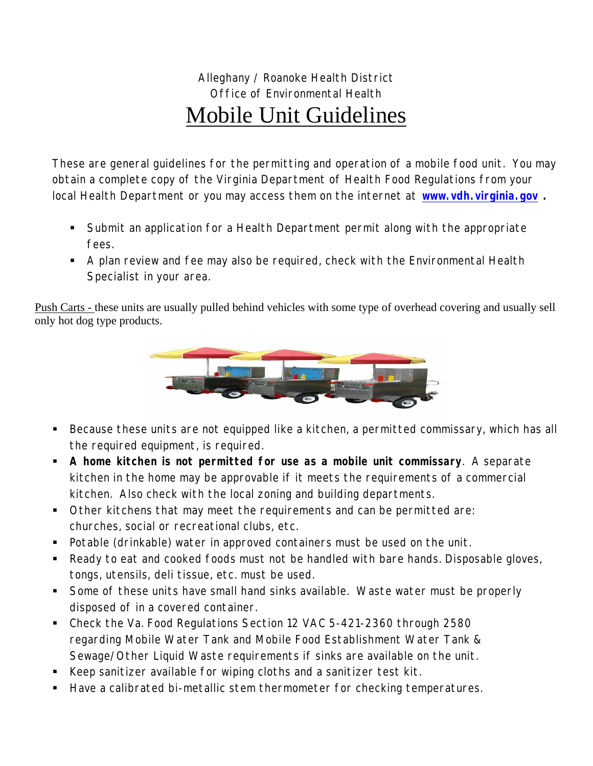## Alleghany / Roanoke Health District Office of Environmental Health Mobile Unit Guidelines

These are general guidelines for the permitting and operation of a mobile food unit. You may obtain a complete copy of the Virginia Department of Health Food Regulations from your local Health Department or you may access them on the internet at **[www.vdh.virginia.gov](http://www.vdh.virginia.gov/) .** 

- Submit an application for a Health Department permit along with the appropriate fees.
- A plan review and fee may also be required, check with the Environmental Health Specialist in your area.

Push Carts - these units are usually pulled behind vehicles with some type of overhead covering and usually sell only hot dog type products.



- Because these units are not equipped like a kitchen, a permitted commissary, which has all the required equipment, is required.
- **A home kitchen is not permitted for use as a mobile unit commissary**. A separate kitchen in the home may be approvable if it meets the requirements of a commercial kitchen. Also check with the local zoning and building departments.
- Other kitchens that may meet the requirements and can be permitted are: churches, social or recreational clubs, etc.
- Potable (drinkable) water in approved containers must be used on the unit.
- Ready to eat and cooked foods must not be handled with bare hands. Disposable gloves, tongs, utensils, deli tissue, etc. must be used.
- Some of these units have small hand sinks available. Waste water must be properly disposed of in a covered container.
- Check the Va. Food Regulations Section 12 VAC 5-421-2360 through 2580 regarding Mobile Water Tank and Mobile Food Establishment Water Tank & Sewage/Other Liquid Waste requirements if sinks are available on the unit.
- Keep sanitizer available for wiping cloths and a sanitizer test kit.
- Have a calibrated bi-metallic stem thermometer for checking temperatures.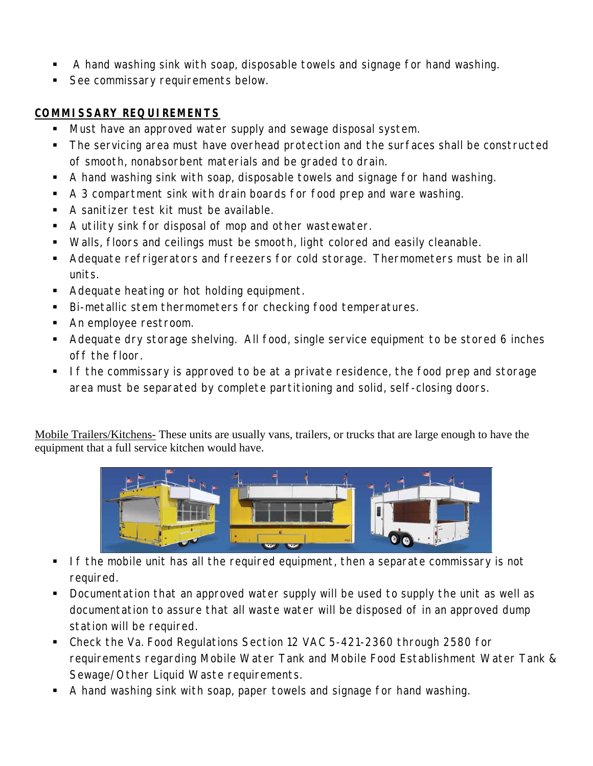- A hand washing sink with soap, disposable towels and signage for hand washing.
- See commissary requirements below.

## **COMMISSARY REQUIREMENTS**

- **Must have an approved water supply and sewage disposal system.**
- The servicing area must have overhead protection and the surfaces shall be constructed of smooth, nonabsorbent materials and be graded to drain.
- A hand washing sink with soap, disposable towels and signage for hand washing.
- A 3 compartment sink with drain boards for food prep and ware washing.
- A sanitizer test kit must be available.
- A utility sink for disposal of mop and other wastewater.
- Walls, floors and ceilings must be smooth, light colored and easily cleanable.
- Adequate refrigerators and freezers for cold storage. Thermometers must be in all units.
- Adequate heating or hot holding equipment.
- Bi-metallic stem thermometers for checking food temperatures.
- **An employee restroom.**
- Adequate dry storage shelving. All food, single service equipment to be stored 6 inches off the floor.
- If the commissary is approved to be at a private residence, the food prep and storage area must be separated by complete partitioning and solid, self-closing doors.

Mobile Trailers/Kitchens- These units are usually vans, trailers, or trucks that are large enough to have the equipment that a full service kitchen would have.



- **If the mobile unit has all the required equipment, then a separate commissary is not** required.
- **Documentation that an approved water supply will be used to supply the unit as well as** documentation to assure that all waste water will be disposed of in an approved dump station will be required.
- Check the Va. Food Regulations Section 12 VAC 5-421-2360 through 2580 for requirements regarding Mobile Water Tank and Mobile Food Establishment Water Tank & Sewage/Other Liquid Waste requirements.
- A hand washing sink with soap, paper towels and signage for hand washing.